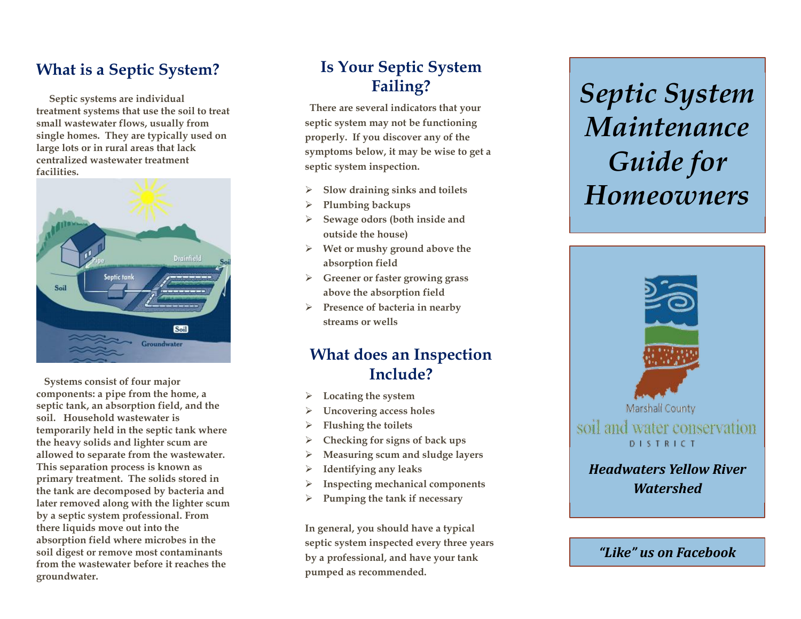#### **What is a Septic System?**

 **Septic systems are individual treatment systems that use the soil to treat small wastewater flows, usually from single homes. They are typically used on large lots or in rural areas that lack centralized wastewater treatment facilities.**



 **Systems consist of four major components: a pipe from the home, a septic tank, an absorption field, and the soil . Household wastewater is temporarily held in the septic tank where the heavy solids and lighter scum are allowed to separate from the wastewater. This separation process is known as primary treatment. The solids stored in the tank are decomposed by bacteria and later removed along with the lighter scum by a septic system professional. From there liquids move out into the absorption field where microbes in the soil digest or remove most contaminants from the wastewater before it reaches the groundwater.**

# **Is Your Septic System Failing?**

 **There are several indicators that your septic system may not be functioning properly. If you discover any of the symptoms below, it may be wise to get a septic system inspection.** 

- ➢ **Slow draining sinks and toilets**
- ➢ **Plumbing backups**
- ➢ **Sewage odors (both inside and outside the house)**
- ➢ **Wet or mushy ground above the absorption field**
- ➢ **Greener or faster growing grass above the absorption field**
- ➢ **Presence of bacteria in nearby streams or wells**

#### **What does an Inspection Include?**

- ➢ **Locating the system**
- ➢ **Uncovering access holes**
- ➢ **Flushing the toilets**
- ➢ **Checking for signs of back ups**
- ➢ **Measuring scum and sludge layers**
- ➢ **Identifying any leaks**
- ➢ **Inspecting mechanical components**
- ➢ **Pumping the tank if necessary**

**In general, you should have a typical septic system inspected every three years by a professional , and have your tank pumped as recommended.**

# *Septic System Maintenance Guide for Homeowners*



*"Like" us on Facebook*